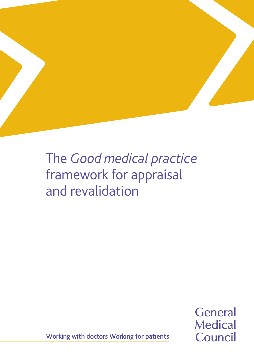

# The *Good medical practice*  framework for appraisal and revalidation

**General Medical** Council

Working with doctors Working for patients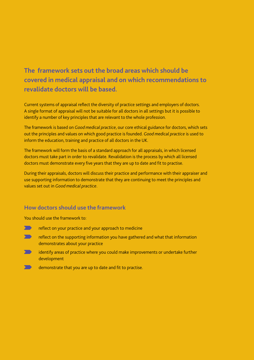## **The framework sets out the broad areas which should be covered in medical appraisal and on which recommendations to revalidate doctors will be based.**

Current systems of appraisal reflect the diversity of practice settings and employers of doctors. A single format of appraisal will not be suitable for all doctors in all settings but it is possible to identify a number of key principles that are relevant to the whole profession.

The framework is based on *Good medical practice*, our core ethical guidance for doctors, which sets out the principles and values on which good practice is founded. *Good medical practice* is used to inform the education, training and practice of all doctors in the UK.

The framework will form the basis of a standard approach for all appraisals, in which licensed doctors must take part in order to revalidate. Revalidation is the process by which all licensed doctors must demonstrate every five years that they are up to date and fit to practise.

During their appraisals, doctors will discuss their practice and performance with their appraiser and use supporting information to demonstrate that they are continuing to meet the principles and values set out in *Good medical practice*.

#### **How doctors should use the framework**

You should use the framework to:

- $\sqrt{ }$ reflect on your practice and your approach to medicine
- $\sum$ reflect on the supporting information you have gathered and what that information demonstrates about your practice
- $\blacktriangleright$ identify areas of practice where you could make improvements or undertake further development
- demonstrate that you are up to date and fit to practise.50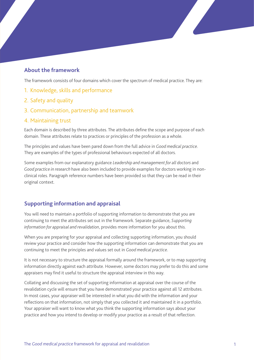#### **About the framework**

The framework consists of four domains which cover the spectrum of medical practice. They are:

- 1. Knowledge, skills and performance
- 2. Safety and quality
- 3. Communication, partnership and teamwork
- 4. Maintaining trust

Each domain is described by three attributes. The attributes define the scope and purpose of each domain. These attributes relate to practices or principles of the profession as a whole.

The principles and values have been pared down from the full advice in *Good medical practice*. They are examples of the types of professional behaviours expected of all doctors.

Some examples from our explanatory guidance *Leadership and management for all doctors* and *Good practice in research* have also been included to provide examples for doctors working in nonclinical roles. Paragraph reference numbers have been provided so that they can be read in their original context.

#### **Supporting information and appraisal**

You will need to maintain a portfolio of supporting information to demonstrate that you are continuing to meet the attributes set out in the framework. Separate guidance, *Supporting information for appraisal and revalidation*, provides more information for you about this.

When you are preparing for your appraisal and collecting supporting information, you should review your practice and consider how the supporting information can demonstrate that you are continuing to meet the principles and values set out in *Good medical practice*.

It is not necessary to structure the appraisal formally around the framework, or to map supporting information directly against each attribute. However, some doctors may prefer to do this and some appraisers may find it useful to structure the appraisal interview in this way.

Collating and discussing the set of supporting information at appraisal over the course of the revalidation cycle will ensure that you have demonstrated your practice against all 12 attributes. In most cases, your appraiser will be interested in what you did with the information and your reflections on that information, not simply that you collected it and maintained it in a portfolio. Your appraiser will want to know what you think the supporting information says about your practice and how you intend to develop or modify your practice as a result of that reflection.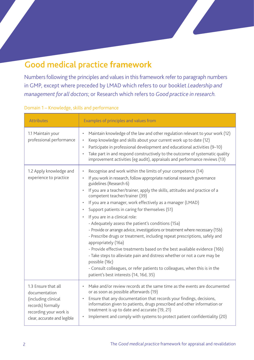# Good medical practice **framework**

Numbers following the principles and values in this framework refer to paragraph numbers in GMP, except where preceded by LMAD which refers to our booklet *Leadership and management for all doctors*; or Research which refers to *Good practice in research.*

| <b>Attributes</b>                                                                                                                         | Examples of principles and values from                                                                                                                                                                                                                                                                                                                                                                                                                                                                                                                                                                                                                                                                                                                                                                                                                                                                                                                                                 |
|-------------------------------------------------------------------------------------------------------------------------------------------|----------------------------------------------------------------------------------------------------------------------------------------------------------------------------------------------------------------------------------------------------------------------------------------------------------------------------------------------------------------------------------------------------------------------------------------------------------------------------------------------------------------------------------------------------------------------------------------------------------------------------------------------------------------------------------------------------------------------------------------------------------------------------------------------------------------------------------------------------------------------------------------------------------------------------------------------------------------------------------------|
| 1.1 Maintain your<br>professional performance                                                                                             | Maintain knowledge of the law and other regulation relevant to your work (12)<br>Keep knowledge and skills about your current work up to date (12)<br>Participate in professional development and educational activities (9-10)<br>Take part in and respond constructively to the outcome of systematic quality<br>improvement activities (eg audit), appraisals and performance reviews (13)                                                                                                                                                                                                                                                                                                                                                                                                                                                                                                                                                                                          |
| 1.2 Apply knowledge and<br>experience to practice                                                                                         | Recognise and work within the limits of your competence (14)<br>If you work in research, follow appropriate national research governance<br>guidelines (Research 6)<br>If you are a teacher/trainer, apply the skills, attitudes and practice of a<br>competent teacher/trainer (39)<br>If you are a manager, work effectively as a manager (LMAD)<br>Support patients in caring for themselves (51)<br>If you are in a clinical role:<br>- Adequately assess the patient's conditions (15a)<br>- Provide or arrange advice, investigations or treatment where necessary (15b)<br>- Prescribe drugs or treatment, including repeat prescriptions, safely and<br>appropriately (16a)<br>- Provide effective treatments based on the best available evidence (16b)<br>- Take steps to alleviate pain and distress whether or not a cure may be<br>possible (16c)<br>- Consult colleagues, or refer patients to colleagues, when this is in the<br>patient's best interests (14, 16d, 35) |
| 1.3 Ensure that all<br>documentation<br>(including clinical<br>records) formally<br>recording your work is<br>clear, accurate and legible | Make and/or review records at the same time as the events are documented<br>or as soon as possible afterwards (19)<br>Ensure that any documentation that records your findings, decisions,<br>$\bullet$<br>information given to patients, drugs prescribed and other information or<br>treatment is up to date and accurate (19, 21)<br>Implement and comply with systems to protect patient confidentiality (20)                                                                                                                                                                                                                                                                                                                                                                                                                                                                                                                                                                      |

#### Domain 1 – Knowledge, skills and performance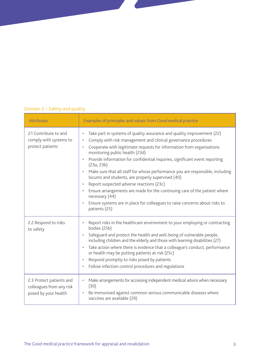#### Domain 2 – Safety and quality

| <b>Attributes</b>                                                            | Examples of principles and values from Good medical practice                                                                                                                                                                                                                                                                                                                                                                                                                                                                                                                                                                                                                                                                                                             |
|------------------------------------------------------------------------------|--------------------------------------------------------------------------------------------------------------------------------------------------------------------------------------------------------------------------------------------------------------------------------------------------------------------------------------------------------------------------------------------------------------------------------------------------------------------------------------------------------------------------------------------------------------------------------------------------------------------------------------------------------------------------------------------------------------------------------------------------------------------------|
| 2.1 Contribute to and<br>comply with systems to<br>protect patients          | Take part in systems of quality assurance and quality improvement (22)<br>$\bullet$<br>Comply with risk management and clinical governance procedures<br>$\bullet$<br>Cooperate with legitimate requests for information from organisations<br>monitoring public health (23d)<br>Provide information for confidential inquiries, significant event reporting<br>(23a, 23b)<br>Make sure that all staff for whose performance you are responsible, including<br>$\bullet$<br>locums and students, are properly supervised (40)<br>Report suspected adverse reactions (23c)<br>Ensure arrangements are made for the continuing care of the patient where<br>necessary (44)<br>Ensure systems are in place for colleagues to raise concerns about risks to<br>patients (25) |
| 2.2 Respond to risks<br>to safety                                            | Report risks in the healthcare environment to your employing or contracting<br>$\bullet$<br>bodies (25b)<br>Safeguard and protect the health and well-being of vulnerable people,<br>including children and the elderly and those with learning disabilities (27)<br>Take action where there is evidence that a colleague's conduct, performance<br>or health may be putting patients at risk (25c)<br>Respond promptly to risks posed by patients<br>$\bullet$<br>Follow infection control procedures and regulations                                                                                                                                                                                                                                                   |
| 2.3 Protect patients and<br>colleagues from any risk<br>posed by your health | Make arrangements for accessing independent medical advice when necessary<br>٠<br>(30)<br>Be immunised against common serious communicable diseases where<br>$\bullet$<br>vaccines are available (29)                                                                                                                                                                                                                                                                                                                                                                                                                                                                                                                                                                    |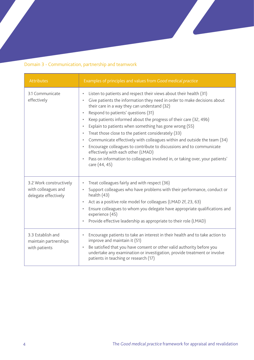### Domain 3 - Communication, partnership and teamwork

| Attributes                                                             | Examples of principles and values from Good medical practice                                                                                                                                                                                                                                                                                                                                                                                                                                                                                                                                                                                                                                                                                                                             |
|------------------------------------------------------------------------|------------------------------------------------------------------------------------------------------------------------------------------------------------------------------------------------------------------------------------------------------------------------------------------------------------------------------------------------------------------------------------------------------------------------------------------------------------------------------------------------------------------------------------------------------------------------------------------------------------------------------------------------------------------------------------------------------------------------------------------------------------------------------------------|
| 3.1 Communicate<br>effectively                                         | Listen to patients and respect their views about their health (31)<br>$\bullet$<br>Give patients the information they need in order to make decisions about<br>their care in a way they can understand (32)<br>Respond to patients' questions (31)<br>Keep patients informed about the progress of their care (32, 49b)<br>$\bullet$<br>Explain to patients when something has gone wrong (55)<br>$\bullet$<br>Treat those close to the patient considerately (33)<br>Communicate effectively with colleagues within and outside the team (34)<br>$\bullet$<br>Encourage colleagues to contribute to discussions and to communicate<br>$\bullet$<br>effectively with each other (LMAD)<br>Pass on information to colleagues involved in, or taking over, your patients'<br>care (44, 45) |
| 3.2 Work constructively<br>with colleagues and<br>delegate effectively | Treat colleagues fairly and with respect (36)<br>$\bullet$<br>Support colleagues who have problems with their performance, conduct or<br>$\bullet$<br>health $(43)$<br>Act as a positive role model for colleagues (LMAD 2f, 23, 63)<br>Ensure colleagues to whom you delegate have appropriate qualifications and<br>experience (45)<br>Provide effective leadership as appropriate to their role (LMAD)<br>$\bullet$                                                                                                                                                                                                                                                                                                                                                                   |
| 3.3 Establish and<br>maintain partnerships<br>with patients            | Encourage patients to take an interest in their health and to take action to<br>$\bullet$<br>improve and maintain it (51)<br>Be satisfied that you have consent or other valid authority before you<br>$\bullet$<br>undertake any examination or investigation, provide treatment or involve<br>patients in teaching or research (17)                                                                                                                                                                                                                                                                                                                                                                                                                                                    |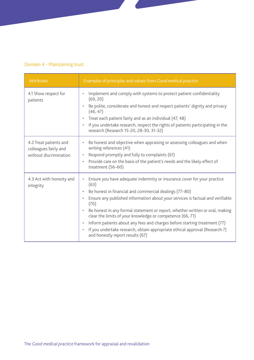### Domain 4 - Maintaining trust

| Attributes                                                                | Examples of principles and values from Good medical practice                                                                                                                                                                                                                                                                                                                                                                                                                                                                                                                                  |
|---------------------------------------------------------------------------|-----------------------------------------------------------------------------------------------------------------------------------------------------------------------------------------------------------------------------------------------------------------------------------------------------------------------------------------------------------------------------------------------------------------------------------------------------------------------------------------------------------------------------------------------------------------------------------------------|
| 4.1 Show respect for<br>patients                                          | Implement and comply with systems to protect patient confidentiality<br>(69, 20)<br>Be polite, considerate and honest and respect patients' dignity and privacy<br>(46, 47)<br>Treat each patient fairly and as an individual (47, 48)<br>If you undertake research, respect the rights of patients participating in the<br>research (Research 15-20, 28-30, 31-32)                                                                                                                                                                                                                           |
| 4.2 Treat patients and<br>colleagues fairly and<br>without discrimination | Be honest and objective when appraising or assessing colleagues and when<br>$\bullet$<br>writing references (41)<br>Respond promptly and fully to complaints (61)<br>$\bullet$<br>Provide care on the basis of the patient's needs and the likely effect of<br>$\bullet$<br>treatment (56-60)                                                                                                                                                                                                                                                                                                 |
| 4.3 Act with honesty and<br>integrity                                     | Ensure you have adequate indemnity or insurance cover for your practice<br>(63)<br>Be honest in financial and commercial dealings (77-80)<br>Ensure any published information about your services is factual and verifiable<br>$\bullet$<br>(70)<br>Be honest in any formal statement or report, whether written or oral, making<br>clear the limits of your knowledge or competence (66, 71)<br>Inform patients about any fees and charges before starting treatment (77)<br>If you undertake research, obtain appropriate ethical approval (Research 7)<br>and honestly report results (67) |